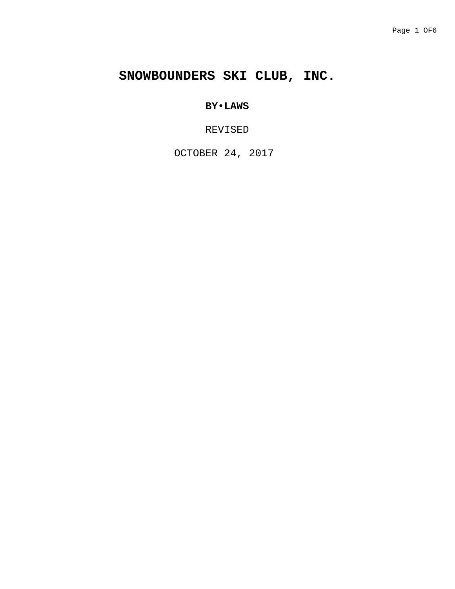# **SNOWBOUNDERS SKI CLUB, INC.**

**BY•LAWS**

REVISED

OCTOBER 24, 2017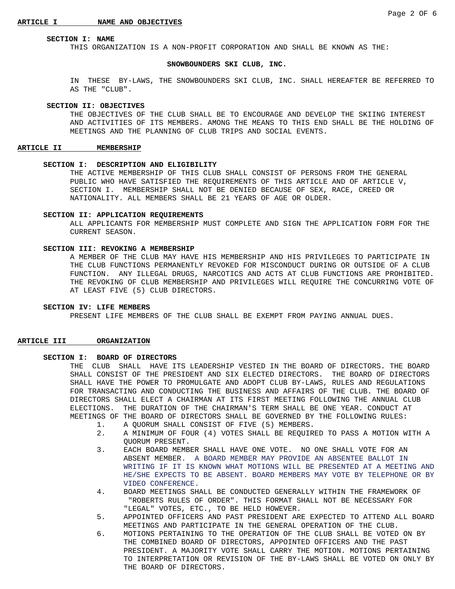#### **SECTION I: NAME**

THIS ORGANIZATION IS A NON-PROFIT CORPORATION AND SHALL BE KNOWN AS THE:

#### **SNOWBOUNDERS SKI CLUB, INC.**

IN THESE BY-LAWS, THE SNOWBOUNDERS SKI CLUB, INC. SHALL HEREAFTER BE REFERRED TO AS THE "CLUB".

#### **SECTION II: OBJECTIVES**

THE OBJECTIVES OF THE CLUB SHALL BE TO ENCOURAGE AND DEVELOP THE SKIING INTEREST AND ACTIVITIES OF ITS MEMBERS. AMONG THE MEANS TO THIS END SHALL BE THE HOLDING OF MEETINGS AND THE PLANNING OF CLUB TRIPS AND SOCIAL EVENTS.

# **ARTICLE II MEMBERSHIP**

# **SECTION I: DESCRIPTION AND ELIGIBILITY**

THE ACTIVE MEMBERSHIP OF THIS CLUB SHALL CONSIST OF PERSONS FROM THE GENERAL PUBLIC WHO HAVE SATISFIED THE REQUIREMENTS OF THIS ARTICLE AND OF ARTICLE V, SECTION I. MEMBERSHIP SHALL NOT BE DENIED BECAUSE OF SEX, RACE, CREED OR NATIONALITY. ALL MEMBERS SHALL BE 21 YEARS OF AGE OR OLDER.

#### **SECTION II: APPLICATION REQUIREMENTS**

ALL APPLICANTS FOR MEMBERSHIP MUST COMPLETE AND SIGN THE APPLICATION FORM FOR THE CURRENT SEASON.

# **SECTION III: REVOKING A MEMBERSHIP**

A MEMBER OF THE CLUB MAY HAVE HIS MEMBERSHIP AND HIS PRIVILEGES TO PARTICIPATE IN THE CLUB FUNCTIONS PERMANENTLY REVOKED FOR MISCONDUCT DURING OR OUTSIDE OF A CLUB FUNCTION. ANY ILLEGAL DRUGS, NARCOTICS AND ACTS AT CLUB FUNCTIONS ARE PROHIBITED. THE REVOKING OF CLUB MEMBERSHIP AND PRIVILEGES WILL REQUIRE THE CONCURRING VOTE OF AT LEAST FIVE (5) CLUB DIRECTORS.

# **SECTION IV: LIFE MEMBERS**

PRESENT LIFE MEMBERS OF THE CLUB SHALL BE EXEMPT FROM PAYING ANNUAL DUES.

#### **ARTICLE III ORGANIZATION**

#### **SECTION I: BOARD OF DIRECTORS**

THE CLUB SHALL HAVE ITS LEADERSHIP VESTED IN THE BOARD OF DIRECTORS. THE BOARD SHALL CONSIST OF THE PRESIDENT AND SIX ELECTED DIRECTORS. THE BOARD OF DIRECTORS SHALL HAVE THE POWER TO PROMULGATE AND ADOPT CLUB BY-LAWS, RULES AND REGULATIONS FOR TRANSACTING AND CONDUCTING THE BUSINESS AND AFFAIRS OF THE CLUB. THE BOARD OF DIRECTORS SHALL ELECT A CHAIRMAN AT ITS FIRST MEETING FOLLOWING THE ANNUAL CLUB ELECTIONS. THE DURATION OF THE CHAIRMAN'S TERM SHALL BE ONE YEAR. CONDUCT AT MEETINGS OF THE BOARD OF DIRECTORS SHALL BE GOVERNED BY THE FOLLOWING RULES:

- 1. A QUORUM SHALL CONSIST OF FIVE (5) MEMBERS.
- 2. A MINIMUM OF FOUR (4) VOTES SHALL BE REQUIRED TO PASS A MOTION WITH A QUORUM PRESENT.
- 3. EACH BOARD MEMBER SHALL HAVE ONE VOTE. NO ONE SHALL VOTE FOR AN ABSENT MEMBER. A BOARD MEMBER MAY PROVIDE AN ABSENTEE BALLOT IN WRITING IF IT IS KNOWN WHAT MOTIONS WILL BE PRESENTED AT A MEETING AND HE/SHE EXPECTS TO BE ABSENT. BOARD MEMBERS MAY VOTE BY TELEPHONE OR BY VIDEO CONFERENCE.
- 4. BOARD MEETINGS SHALL BE CONDUCTED GENERALLY WITHIN THE FRAMEWORK OF "ROBERTS RULES OF ORDER". THIS FORMAT SHALL NOT BE NECESSARY FOR "LEGAL" VOTES, ETC., TO BE HELD HOWEVER.
- 5. APPOINTED OFFICERS AND PAST PRESIDENT ARE EXPECTED TO ATTEND ALL BOARD MEETINGS AND PARTICIPATE IN THE GENERAL OPERATION OF THE CLUB.
- 6. MOTIONS PERTAINING TO THE OPERATION OF THE CLUB SHALL BE VOTED ON BY THE COMBINED BOARD OF DIRECTORS, APPOINTED OFFICERS AND THE PAST PRESIDENT. A MAJORITY VOTE SHALL CARRY THE MOTION. MOTIONS PERTAINING TO INTERPRETATION OR REVISION OF THE BY-LAWS SHALL BE VOTED ON ONLY BY THE BOARD OF DIRECTORS.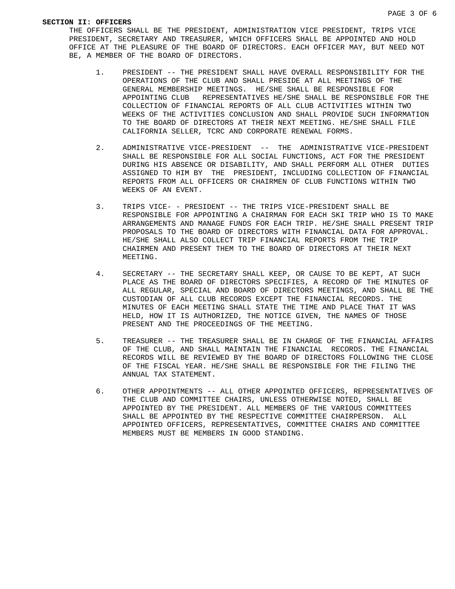THE OFFICERS SHALL BE THE PRESIDENT, ADMINISTRATION VICE PRESIDENT, TRIPS VICE PRESIDENT, SECRETARY AND TREASURER, WHICH OFFICERS SHALL BE APPOINTED AND HOLD OFFICE AT THE PLEASURE OF THE BOARD OF DIRECTORS. EACH OFFICER MAY, BUT NEED NOT BE, A MEMBER OF THE BOARD OF DIRECTORS.

- 1. PRESIDENT -- THE PRESIDENT SHALL HAVE OVERALL RESPONSIBILITY FOR THE OPERATIONS OF THE CLUB AND SHALL PRESIDE AT ALL MEETINGS OF THE GENERAL MEMBERSHIP MEETINGS. HE/SHE SHALL BE RESPONSIBLE FOR APPOINTING CLUB REPRESENTATIVES HE/SHE SHALL BE RESPONSIBLE FOR THE COLLECTION OF FINANCIAL REPORTS OF ALL CLUB ACTIVITIES WITHIN TWO WEEKS OF THE ACTIVITIES CONCLUSION AND SHALL PROVIDE SUCH INFORMATION TO THE BOARD OF DIRECTORS AT THEIR NEXT MEETING. HE/SHE SHALL FILE CALIFORNIA SELLER, TCRC AND CORPORATE RENEWAL FORMS.
- 2. ADMINISTRATIVE VICE-PRESIDENT -- THE ADMINISTRATIVE VICE-PRESIDENT SHALL BE RESPONSIBLE FOR ALL SOCIAL FUNCTIONS, ACT FOR THE PRESIDENT DURING HIS ABSENCE OR DISABILITY, AND SHALL PERFORM ALL OTHER DUTIES ASSIGNED TO HIM BY THE PRESIDENT, INCLUDING COLLECTION OF FINANCIAL REPORTS FROM ALL OFFICERS OR CHAIRMEN OF CLUB FUNCTIONS WITHIN TWO WEEKS OF AN EVENT.
- 3. TRIPS VICE- PRESIDENT -- THE TRIPS VICE-PRESIDENT SHALL BE RESPONSIBLE FOR APPOINTING A CHAIRMAN FOR EACH SKI TRIP WHO IS TO MAKE ARRANGEMENTS AND MANAGE FUNDS FOR EACH TRIP. HE/SHE SHALL PRESENT TRIP PROPOSALS TO THE BOARD OF DIRECTORS WITH FINANCIAL DATA FOR APPROVAL. HE/SHE SHALL ALSO COLLECT TRIP FINANCIAL REPORTS FROM THE TRIP CHAIRMEN AND PRESENT THEM TO THE BOARD OF DIRECTORS AT THEIR NEXT MEETING.
- 4. SECRETARY -- THE SECRETARY SHALL KEEP, OR CAUSE TO BE KEPT, AT SUCH PLACE AS THE BOARD OF DIRECTORS SPECIFIES, A RECORD OF THE MINUTES OF ALL REGULAR, SPECIAL AND BOARD OF DIRECTORS MEETINGS, AND SHALL BE THE CUSTODIAN OF ALL CLUB RECORDS EXCEPT THE FINANCIAL RECORDS. THE MINUTES OF EACH MEETING SHALL STATE THE TIME AND PLACE THAT IT WAS HELD, HOW IT IS AUTHORIZED, THE NOTICE GIVEN, THE NAMES OF THOSE PRESENT AND THE PROCEEDINGS OF THE MEETING.
- 5. TREASURER -- THE TREASURER SHALL BE IN CHARGE OF THE FINANCIAL AFFAIRS OF THE CLUB, AND SHALL MAINTAIN THE FINANCIAL RECORDS. THE FINANCIAL RECORDS WILL BE REVIEWED BY THE BOARD OF DIRECTORS FOLLOWING THE CLOSE OF THE FISCAL YEAR. HE/SHE SHALL BE RESPONSIBLE FOR THE FILING THE ANNUAL TAX STATEMENT.
- 6. OTHER APPOINTMENTS -- ALL OTHER APPOINTED OFFICERS, REPRESENTATIVES OF THE CLUB AND COMMITTEE CHAIRS, UNLESS OTHERWISE NOTED, SHALL BE APPOINTED BY THE PRESIDENT. ALL MEMBERS OF THE VARIOUS COMMITTEES SHALL BE APPOINTED BY THE RESPECTIVE COMMITTEE CHAIRPERSON. ALL APPOINTED OFFICERS, REPRESENTATIVES, COMMITTEE CHAIRS AND COMMITTEE MEMBERS MUST BE MEMBERS IN GOOD STANDING.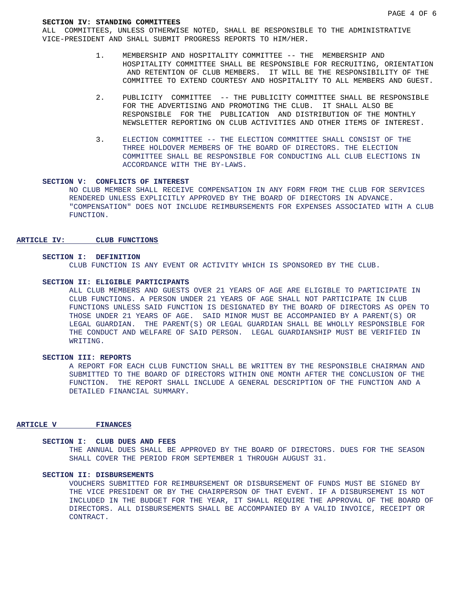#### **SECTION IV: STANDING COMMITTEES**

ALL COMMITTEES, UNLESS OTHERWISE NOTED, SHALL BE RESPONSIBLE TO THE ADMINISTRATIVE VICE-PRESIDENT AND SHALL SUBMIT PROGRESS REPORTS TO HIM/HER.

- 1. MEMBERSHIP AND HOSPITALITY COMMITTEE -- THE MEMBERSHIP AND HOSPITALITY COMMITTEE SHALL BE RESPONSIBLE FOR RECRUITING, ORIENTATION AND RETENTION OF CLUB MEMBERS. IT WILL BE THE RESPONSIBILITY OF THE COMMITTEE TO EXTEND COURTESY AND HOSPITALITY TO ALL MEMBERS AND GUEST.
- 2. PUBLICITY COMMITTEE -- THE PUBLICITY COMMITTEE SHALL BE RESPONSIBLE FOR THE ADVERTISING AND PROMOTING THE CLUB. IT SHALL ALSO BE RESPONSIBLE FOR THE PUBLICATION AND DISTRIBUTION OF THE MONTHLY NEWSLETTER REPORTING ON CLUB ACTIVITIES AND OTHER ITEMS OF INTEREST.
- 3. ELECTION COMMITTEE -- THE ELECTION COMMITTEE SHALL CONSIST OF THE THREE HOLDOVER MEMBERS OF THE BOARD OF DIRECTORS. THE ELECTION COMMITTEE SHALL BE RESPONSIBLE FOR CONDUCTING ALL CLUB ELECTIONS IN ACCORDANCE WITH THE BY-LAWS.

# **SECTION V: CONFLICTS OF INTEREST**

NO CLUB MEMBER SHALL RECEIVE COMPENSATION IN ANY FORM FROM THE CLUB FOR SERVICES RENDERED UNLESS EXPLICITLY APPROVED BY THE BOARD OF DIRECTORS IN ADVANCE. "COMPENSATION" DOES NOT INCLUDE REIMBURSEMENTS FOR EXPENSES ASSOCIATED WITH A CLUB FUNCTION.

# **ARTICLE IV: CLUB FUNCTIONS**

#### **SECTION I: DEFINITION**

CLUB FUNCTION IS ANY EVENT OR ACTIVITY WHICH IS SPONSORED BY THE CLUB.

# **SECTION II: ELIGIBLE PARTICIPANTS**

ALL CLUB MEMBERS AND GUESTS OVER 21 YEARS OF AGE ARE ELIGIBLE TO PARTICIPATE IN CLUB FUNCTIONS. A PERSON UNDER 21 YEARS OF AGE SHALL NOT PARTICIPATE IN CLUB FUNCTIONS UNLESS SAID FUNCTION IS DESIGNATED BY THE BOARD OF DIRECTORS AS OPEN TO THOSE UNDER 21 YEARS OF AGE. SAID MINOR MUST BE ACCOMPANIED BY A PARENT(S) OR LEGAL GUARDIAN. THE PARENT(S) OR LEGAL GUARDIAN SHALL BE WHOLLY RESPONSIBLE FOR THE CONDUCT AND WELFARE OF SAID PERSON. LEGAL GUARDIANSHIP MUST BE VERIFIED IN WRITING.

# **SECTION III: REPORTS**

A REPORT FOR EACH CLUB FUNCTION SHALL BE WRITTEN BY THE RESPONSIBLE CHAIRMAN AND SUBMITTED TO THE BOARD OF DIRECTORS WITHIN ONE MONTH AFTER THE CONCLUSION OF THE FUNCTION. THE REPORT SHALL INCLUDE A GENERAL DESCRIPTION OF THE FUNCTION AND A DETAILED FINANCIAL SUMMARY.

# **ARTICLE V FINANCES**

# **SECTION I: CLUB DUES AND FEES**

THE ANNUAL DUES SHALL BE APPROVED BY THE BOARD OF DIRECTORS. DUES FOR THE SEASON SHALL COVER THE PERIOD FROM SEPTEMBER 1 THROUGH AUGUST 31.

# **SECTION II: DISBURSEMENTS**

VOUCHERS SUBMITTED FOR REIMBURSEMENT OR DISBURSEMENT OF FUNDS MUST BE SIGNED BY THE VICE PRESIDENT OR BY THE CHAIRPERSON OF THAT EVENT. IF A DISBURSEMENT IS NOT INCLUDED IN THE BUDGET FOR THE YEAR, IT SHALL REQUIRE THE APPROVAL OF THE BOARD OF DIRECTORS. ALL DISBURSEMENTS SHALL BE ACCOMPANIED BY A VALID INVOICE, RECEIPT OR CONTRACT.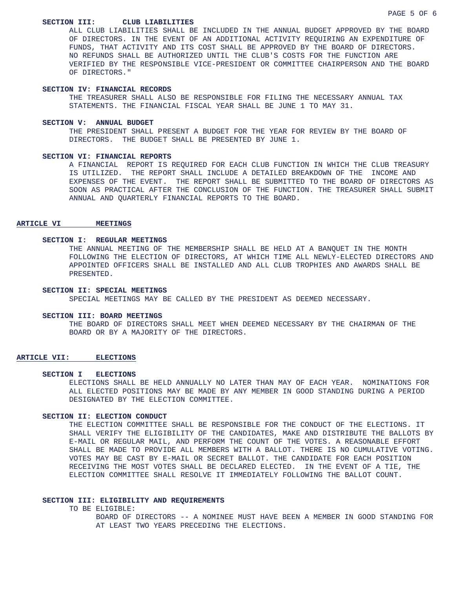# **SECTION III: CLUB LIABILITIES**

ALL CLUB LIABILITIES SHALL BE INCLUDED IN THE ANNUAL BUDGET APPROVED BY THE BOARD OF DIRECTORS. IN THE EVENT OF AN ADDITIONAL ACTIVITY REQUIRING AN EXPENDITURE OF FUNDS, THAT ACTIVITY AND ITS COST SHALL BE APPROVED BY THE BOARD OF DIRECTORS. NO REFUNDS SHALL BE AUTHORIZED UNTIL THE CLUB'S COSTS FOR THE FUNCTION ARE VERIFIED BY THE RESPONSIBLE VICE-PRESIDENT OR COMMITTEE CHAIRPERSON AND THE BOARD OF DIRECTORS."

# **SECTION IV: FINANCIAL RECORDS**

THE TREASURER SHALL ALSO BE RESPONSIBLE FOR FILING THE NECESSARY ANNUAL TAX STATEMENTS. THE FINANCIAL FISCAL YEAR SHALL BE JUNE 1 TO MAY 31.

#### **SECTION V: ANNUAL BUDGET**

THE PRESIDENT SHALL PRESENT A BUDGET FOR THE YEAR FOR REVIEW BY THE BOARD OF DIRECTORS. THE BUDGET SHALL BE PRESENTED BY JUNE 1.

#### **SECTION VI: FINANCIAL REPORTS**

A FINANCIAL REPORT IS REQUIRED FOR EACH CLUB FUNCTION IN WHICH THE CLUB TREASURY IS UTILIZED. THE REPORT SHALL INCLUDE A DETAILED BREAKDOWN OF THE INCOME AND EXPENSES OF THE EVENT. THE REPORT SHALL BE SUBMITTED TO THE BOARD OF DIRECTORS AS SOON AS PRACTICAL AFTER THE CONCLUSION OF THE FUNCTION. THE TREASURER SHALL SUBMIT ANNUAL AND QUARTERLY FINANCIAL REPORTS TO THE BOARD.

# **ARTICLE VI MEETINGS**

## **SECTION I: REGULAR MEETINGS**

THE ANNUAL MEETING OF THE MEMBERSHIP SHALL BE HELD AT A BANQUET IN THE MONTH FOLLOWING THE ELECTION OF DIRECTORS, AT WHICH TIME ALL NEWLY-ELECTED DIRECTORS AND APPOINTED OFFICERS SHALL BE INSTALLED AND ALL CLUB TROPHIES AND AWARDS SHALL BE PRESENTED.

### **SECTION II: SPECIAL MEETINGS**

SPECIAL MEETINGS MAY BE CALLED BY THE PRESIDENT AS DEEMED NECESSARY.

#### **SECTION III: BOARD MEETINGS**

THE BOARD OF DIRECTORS SHALL MEET WHEN DEEMED NECESSARY BY THE CHAIRMAN OF THE BOARD OR BY A MAJORITY OF THE DIRECTORS.

# **ARTICLE VII: ELECTIONS**

#### **SECTION I ELECTIONS**

ELECTIONS SHALL BE HELD ANNUALLY NO LATER THAN MAY OF EACH YEAR. NOMINATIONS FOR ALL ELECTED POSITIONS MAY BE MADE BY ANY MEMBER IN GOOD STANDING DURING A PERIOD DESIGNATED BY THE ELECTION COMMITTEE.

# **SECTION II: ELECTION CONDUCT**

THE ELECTION COMMITTEE SHALL BE RESPONSIBLE FOR THE CONDUCT OF THE ELECTIONS. IT SHALL VERIFY THE ELIGIBILITY OF THE CANDIDATES, MAKE AND DISTRIBUTE THE BALLOTS BY E-MAIL OR REGULAR MAIL, AND PERFORM THE COUNT OF THE VOTES. A REASONABLE EFFORT SHALL BE MADE TO PROVIDE ALL MEMBERS WITH A BALLOT. THERE IS NO CUMULATIVE VOTING. VOTES MAY BE CAST BY E-MAIL OR SECRET BALLOT. THE CANDIDATE FOR EACH POSITION RECEIVING THE MOST VOTES SHALL BE DECLARED ELECTED. IN THE EVENT OF A TIE, THE ELECTION COMMITTEE SHALL RESOLVE IT IMMEDIATELY FOLLOWING THE BALLOT COUNT.

#### **SECTION III: ELIGIBILITY AND REQUIREMENTS**

TO BE ELIGIBLE:

BOARD OF DIRECTORS -- A NOMINEE MUST HAVE BEEN A MEMBER IN GOOD STANDING FOR AT LEAST TWO YEARS PRECEDING THE ELECTIONS.